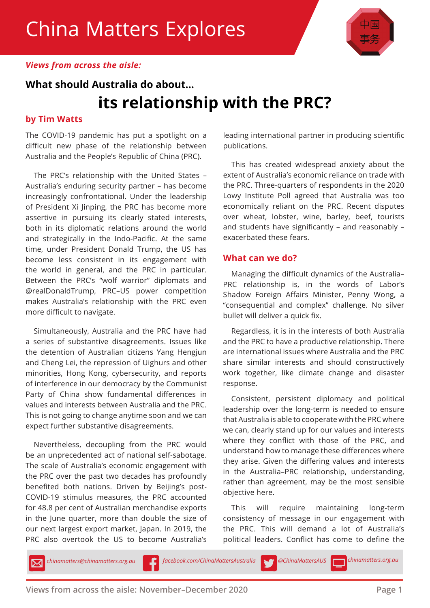

### *Views from across the aisle:*

## **What should Australia do about... its relationship with the PRC?**

### **by Tim Watts**

The COVID-19 pandemic has put a spotlight on a difficult new phase of the relationship between Australia and the People's Republic of China (PRC).

The PRC's relationship with the United States – Australia's enduring security partner – has become increasingly confrontational. Under the leadership of President Xi Jinping, the PRC has become more assertive in pursuing its clearly stated interests, both in its diplomatic relations around the world and strategically in the Indo-Pacific. At the same time, under President Donald Trump, the US has become less consistent in its engagement with the world in general, and the PRC in particular. Between the PRC's "wolf warrior" diplomats and @realDonaldTrump, PRC–US power competition makes Australia's relationship with the PRC even more difficult to navigate.

Simultaneously, Australia and the PRC have had a series of substantive disagreements. Issues like the detention of Australian citizens Yang Hengjun and Cheng Lei, the repression of Uighurs and other minorities, Hong Kong, cybersecurity, and reports of interference in our democracy by the Communist Party of China show fundamental differences in values and interests between Australia and the PRC. This is not going to change anytime soon and we can expect further substantive disagreements.

Nevertheless, decoupling from the PRC would be an unprecedented act of national self-sabotage. The scale of Australia's economic engagement with the PRC over the past two decades has profoundly benefited both nations. Driven by Beijing's post-COVID-19 stimulus measures, the PRC accounted for 48.8 per cent of Australian merchandise exports in the June quarter, more than double the size of our next largest export market, Japan. In 2019, the PRC also overtook the US to become Australia's leading international partner in producing scientific publications.

This has created widespread anxiety about the extent of Australia's economic reliance on trade with the PRC. Three-quarters of respondents in the 2020 Lowy Institute Poll agreed that Australia was too economically reliant on the PRC. Recent disputes over wheat, lobster, wine, barley, beef, tourists and students have significantly – and reasonably – exacerbated these fears.

#### **What can we do?**

Managing the difficult dynamics of the Australia– PRC relationship is, in the words of Labor's Shadow Foreign Affairs Minister, Penny Wong, a "consequential and complex" challenge. No silver bullet will deliver a quick fix.

Regardless, it is in the interests of both Australia and the PRC to have a productive relationship. There are international issues where Australia and the PRC share similar interests and should constructively work together, like climate change and disaster response.

Consistent, persistent diplomacy and political leadership over the long-term is needed to ensure that Australia is able to cooperate with the PRC where we can, clearly stand up for our values and interests where they conflict with those of the PRC, and understand how to manage these differences where they arise. Given the differing values and interests in the Australia–PRC relationship, understanding, rather than agreement, may be the most sensible objective here.

This will require maintaining long-term consistency of message in our engagement with the PRC. This will demand a lot of Australia's political leaders. Conflict has come to define the

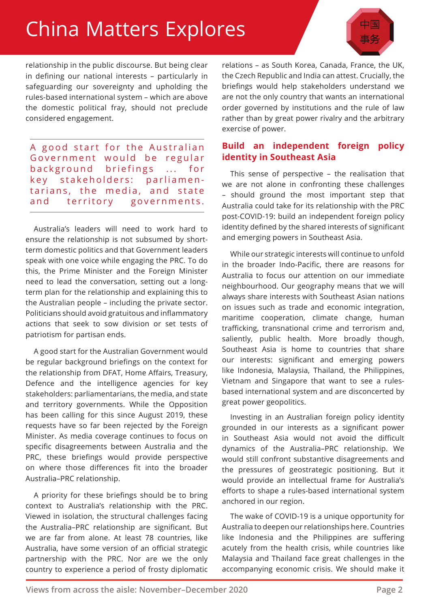# China Matters Explores

relationship in the public discourse. But being clear in defining our national interests – particularly in safeguarding our sovereignty and upholding the rules-based international system – which are above the domestic political fray, should not preclude considered engagement.

A good start for the Australian Government would be regular background briefings ... for key stakeholders: parliamentarians, the media, and state and territory governments.

Australia's leaders will need to work hard to ensure the relationship is not subsumed by shortterm domestic politics and that Government leaders speak with one voice while engaging the PRC. To do this, the Prime Minister and the Foreign Minister need to lead the conversation, setting out a longterm plan for the relationship and explaining this to the Australian people – including the private sector. Politicians should avoid gratuitous and inflammatory actions that seek to sow division or set tests of patriotism for partisan ends.

A good start for the Australian Government would be regular background briefings on the context for the relationship from DFAT, Home Affairs, Treasury, Defence and the intelligence agencies for key stakeholders: parliamentarians, the media, and state and territory governments. While the Opposition has been calling for this since August 2019, these requests have so far been rejected by the Foreign Minister. As media coverage continues to focus on specific disagreements between Australia and the PRC, these briefings would provide perspective on where those differences fit into the broader Australia–PRC relationship.

A priority for these briefings should be to bring context to Australia's relationship with the PRC. Viewed in isolation, the structural challenges facing the Australia–PRC relationship are significant. But we are far from alone. At least 78 countries, like Australia, have some version of an official strategic partnership with the PRC. Nor are we the only country to experience a period of frosty diplomatic

relations – as South Korea, Canada, France, the UK, the Czech Republic and India can attest. Crucially, the briefings would help stakeholders understand we are not the only country that wants an international order governed by institutions and the rule of law rather than by great power rivalry and the arbitrary exercise of power.

### **Build an independent foreign policy identity in Southeast Asia**

This sense of perspective – the realisation that we are not alone in confronting these challenges – should ground the most important step that Australia could take for its relationship with the PRC post-COVID-19: build an independent foreign policy identity defined by the shared interests of significant and emerging powers in Southeast Asia.

While our strategic interests will continue to unfold in the broader Indo-Pacific, there are reasons for Australia to focus our attention on our immediate neighbourhood. Our geography means that we will always share interests with Southeast Asian nations on issues such as trade and economic integration, maritime cooperation, climate change, human trafficking, transnational crime and terrorism and, saliently, public health. More broadly though, Southeast Asia is home to countries that share our interests: significant and emerging powers like Indonesia, Malaysia, Thailand, the Philippines, Vietnam and Singapore that want to see a rulesbased international system and are disconcerted by great power geopolitics.

Investing in an Australian foreign policy identity grounded in our interests as a significant power in Southeast Asia would not avoid the difficult dynamics of the Australia–PRC relationship. We would still confront substantive disagreements and the pressures of geostrategic positioning. But it would provide an intellectual frame for Australia's efforts to shape a rules-based international system anchored in our region.

The wake of COVID-19 is a unique opportunity for Australia to deepen our relationships here. Countries like Indonesia and the Philippines are suffering acutely from the health crisis, while countries like Malaysia and Thailand face great challenges in the accompanying economic crisis. We should make it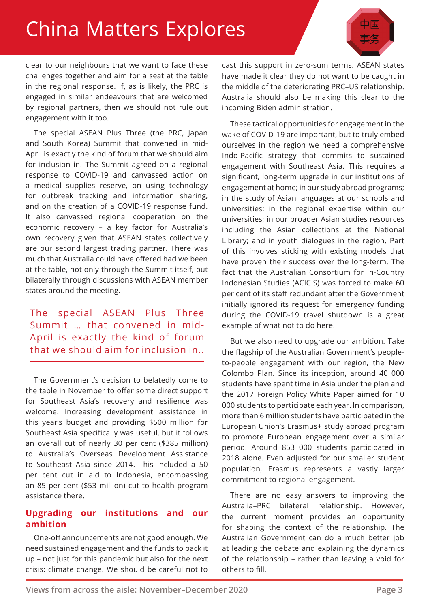# China Matters Explores

clear to our neighbours that we want to face these challenges together and aim for a seat at the table in the regional response. If, as is likely, the PRC is engaged in similar endeavours that are welcomed by regional partners, then we should not rule out engagement with it too.

The special ASEAN Plus Three (the PRC, Japan and South Korea) Summit that convened in mid-April is exactly the kind of forum that we should aim for inclusion in. The Summit agreed on a regional response to COVID-19 and canvassed action on a medical supplies reserve, on using technology for outbreak tracking and information sharing, and on the creation of a COVID-19 response fund. It also canvassed regional cooperation on the economic recovery – a key factor for Australia's own recovery given that ASEAN states collectively are our second largest trading partner. There was much that Australia could have offered had we been at the table, not only through the Summit itself, but bilaterally through discussions with ASEAN member states around the meeting.

The special ASEAN Plus Three Summit … that convened in mid-April is exactly the kind of forum that we should aim for inclusion in..

The Government's decision to belatedly come to the table in November to offer some direct support for Southeast Asia's recovery and resilience was welcome. Increasing development assistance in this year's budget and providing \$500 million for Southeast Asia specifically was useful, but it follows an overall cut of nearly 30 per cent (\$385 million) to Australia's Overseas Development Assistance to Southeast Asia since 2014. This included a 50 per cent cut in aid to Indonesia, encompassing an 85 per cent (\$53 million) cut to health program assistance there.

### **Upgrading our institutions and our ambition**

One-off announcements are not good enough. We need sustained engagement and the funds to back it up – not just for this pandemic but also for the next crisis: climate change. We should be careful not to

cast this support in zero-sum terms. ASEAN states have made it clear they do not want to be caught in the middle of the deteriorating PRC–US relationship. Australia should also be making this clear to the incoming Biden administration.

These tactical opportunities for engagement in the wake of COVID-19 are important, but to truly embed ourselves in the region we need a comprehensive Indo-Pacific strategy that commits to sustained engagement with Southeast Asia. This requires a significant, long-term upgrade in our institutions of engagement at home; in our study abroad programs; in the study of Asian languages at our schools and universities; in the regional expertise within our universities; in our broader Asian studies resources including the Asian collections at the National Library; and in youth dialogues in the region. Part of this involves sticking with existing models that have proven their success over the long-term. The fact that the Australian Consortium for In-Country Indonesian Studies (ACICIS) was forced to make 60 per cent of its staff redundant after the Government initially ignored its request for emergency funding during the COVID-19 travel shutdown is a great example of what not to do here.

But we also need to upgrade our ambition. Take the flagship of the Australian Government's peopleto-people engagement with our region, the New Colombo Plan. Since its inception, around 40 000 students have spent time in Asia under the plan and the 2017 Foreign Policy White Paper aimed for 10 000 students to participate each year. In comparison, more than 6 million students have participated in the European Union's Erasmus+ study abroad program to promote European engagement over a similar period. Around 853 000 students participated in 2018 alone. Even adjusted for our smaller student population, Erasmus represents a vastly larger commitment to regional engagement.

There are no easy answers to improving the Australia–PRC bilateral relationship. However, the current moment provides an opportunity for shaping the context of the relationship. The Australian Government can do a much better job at leading the debate and explaining the dynamics of the relationship – rather than leaving a void for others to fill.